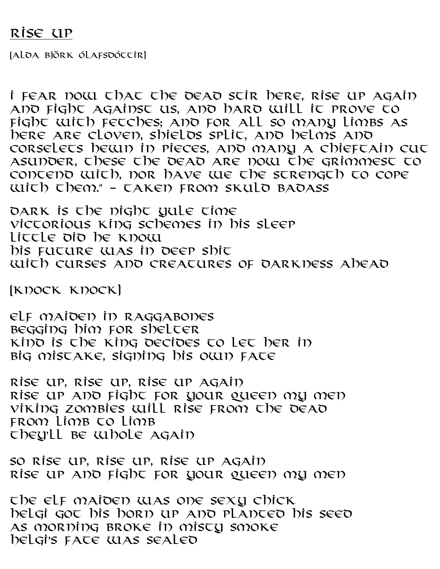## RISE UP

(Alda Björk Ólafsdóttir)

I FEAR NOW THAT The DEAD STIR HERE, RISE UP AGAIN and fight against us, and hard will it prove to fight with fetches; and for all so many limbs as here are cloven, shields split, and helms and corselets hewn in pieces, and many a chieftain cut asunder, these the dead are now the grimmest to contend with, nor have we the strength to cope with them." – taken from Skuld Badass

DARK is the night yule time Victorious King schemes in his sleep Little did he know His future was in deep shit With curses and creatures of darkness ahead

(Knock knock)

Elf maiden in raggabones Begging him for shelter Kind is the King Decides to let her in Big mistake, signing his own fate

Rise up, rise up, rise up again Rise up and fight for your queen my men Viking zombies will rise from the dead FROM LIMB TO LIMB They'll be whole again

So rise up, rise up, rise up again Rise up and fight for your queen my men

The elf maiden was one sexy chick Helgi got his horn up and planted his seed As morning broke in misty smoke Helgi's fate was sealed